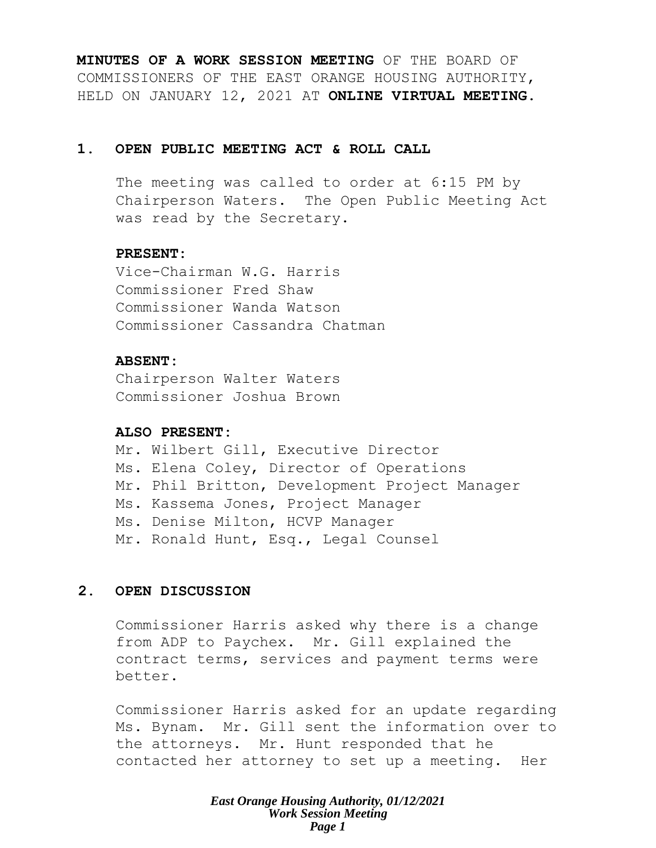**MINUTES OF A WORK SESSION MEETING** OF THE BOARD OF COMMISSIONERS OF THE EAST ORANGE HOUSING AUTHORITY, HELD ON JANUARY 12, 2021 AT **ONLINE VIRTUAL MEETING**.

## **1. OPEN PUBLIC MEETING ACT & ROLL CALL**

The meeting was called to order at 6:15 PM by Chairperson Waters. The Open Public Meeting Act was read by the Secretary.

## **PRESENT:**

Vice-Chairman W.G. Harris Commissioner Fred Shaw Commissioner Wanda Watson Commissioner Cassandra Chatman

## **ABSENT:**

Chairperson Walter Waters Commissioner Joshua Brown

## **ALSO PRESENT:**

Mr. Wilbert Gill, Executive Director Ms. Elena Coley, Director of Operations Mr. Phil Britton, Development Project Manager Ms. Kassema Jones, Project Manager Ms. Denise Milton, HCVP Manager Mr. Ronald Hunt, Esq., Legal Counsel

## **2. OPEN DISCUSSION**

Commissioner Harris asked why there is a change from ADP to Paychex. Mr. Gill explained the contract terms, services and payment terms were better.

Commissioner Harris asked for an update regarding Ms. Bynam. Mr. Gill sent the information over to the attorneys. Mr. Hunt responded that he contacted her attorney to set up a meeting. Her

> *East Orange Housing Authority, 01/12/2021 Work Session Meeting Page 1*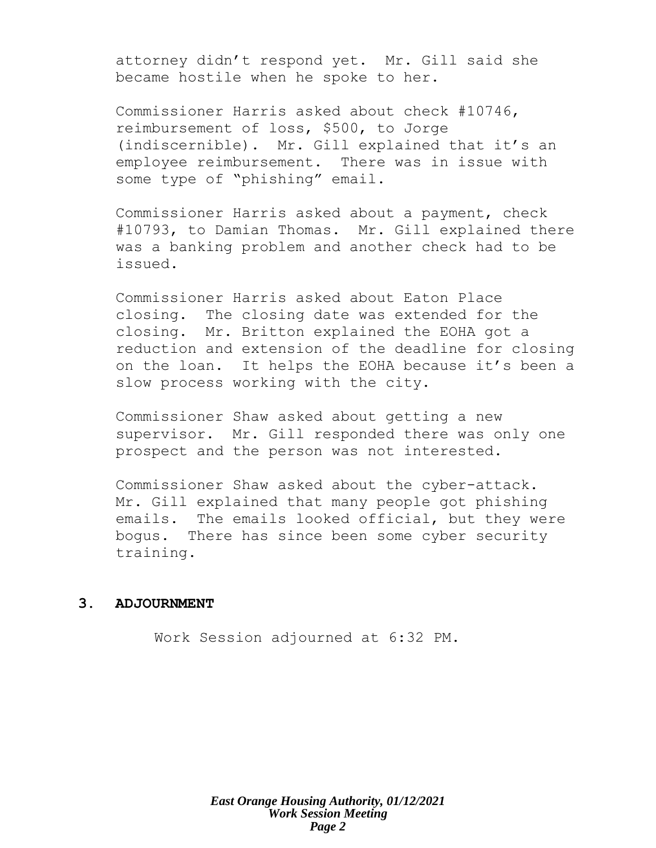attorney didn't respond yet. Mr. Gill said she became hostile when he spoke to her.

Commissioner Harris asked about check #10746, reimbursement of loss, \$500, to Jorge (indiscernible). Mr. Gill explained that it's an employee reimbursement. There was in issue with some type of "phishing" email.

Commissioner Harris asked about a payment, check #10793, to Damian Thomas. Mr. Gill explained there was a banking problem and another check had to be issued.

Commissioner Harris asked about Eaton Place closing. The closing date was extended for the closing. Mr. Britton explained the EOHA got a reduction and extension of the deadline for closing on the loan. It helps the EOHA because it's been a slow process working with the city.

Commissioner Shaw asked about getting a new supervisor. Mr. Gill responded there was only one prospect and the person was not interested.

Commissioner Shaw asked about the cyber-attack. Mr. Gill explained that many people got phishing emails. The emails looked official, but they were bogus. There has since been some cyber security training.

#### **3. ADJOURNMENT**

Work Session adjourned at 6:32 PM.

*East Orange Housing Authority, 01/12/2021 Work Session Meeting Page 2*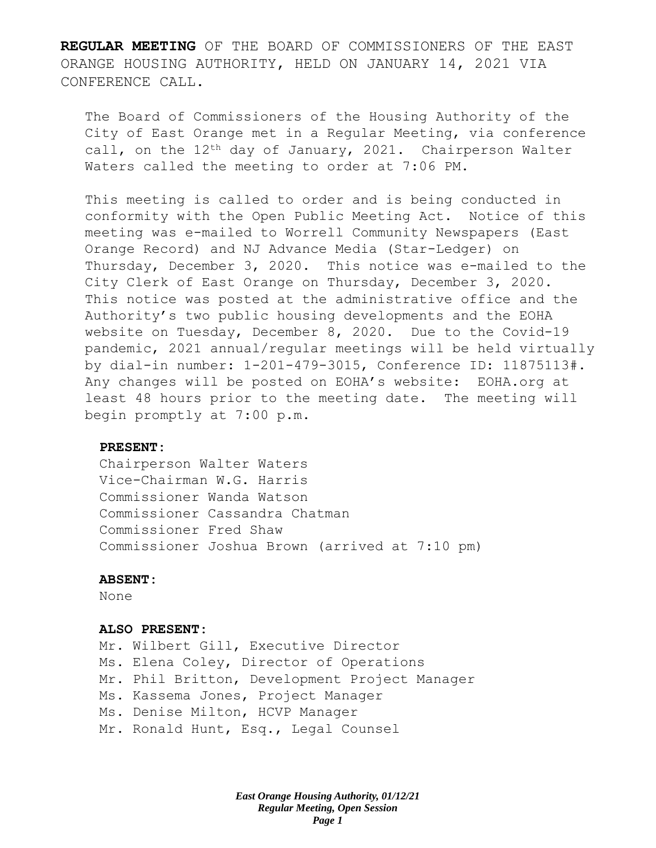**REGULAR MEETING** OF THE BOARD OF COMMISSIONERS OF THE EAST ORANGE HOUSING AUTHORITY, HELD ON JANUARY 14, 2021 VIA CONFERENCE CALL.

The Board of Commissioners of the Housing Authority of the City of East Orange met in a Regular Meeting, via conference call, on the 12<sup>th</sup> day of January, 2021. Chairperson Walter Waters called the meeting to order at 7:06 PM.

This meeting is called to order and is being conducted in conformity with the Open Public Meeting Act. Notice of this meeting was e-mailed to Worrell Community Newspapers (East Orange Record) and NJ Advance Media (Star-Ledger) on Thursday, December 3, 2020. This notice was e-mailed to the City Clerk of East Orange on Thursday, December 3, 2020. This notice was posted at the administrative office and the Authority's two public housing developments and the EOHA website on Tuesday, December 8, 2020. Due to the Covid-19 pandemic, 2021 annual/regular meetings will be held virtually by dial-in number: 1-201-479-3015, Conference ID: 11875113#. Any changes will be posted on EOHA's website: EOHA.org at least 48 hours prior to the meeting date. The meeting will begin promptly at 7:00 p.m.

#### **PRESENT:**

Chairperson Walter Waters Vice-Chairman W.G. Harris Commissioner Wanda Watson Commissioner Cassandra Chatman Commissioner Fred Shaw Commissioner Joshua Brown (arrived at 7:10 pm)

#### **ABSENT:**

None

#### **ALSO PRESENT:**

Mr. Wilbert Gill, Executive Director Ms. Elena Coley, Director of Operations Mr. Phil Britton, Development Project Manager Ms. Kassema Jones, Project Manager Ms. Denise Milton, HCVP Manager Mr. Ronald Hunt, Esq., Legal Counsel

> *East Orange Housing Authority, 01/12/21 Regular Meeting, Open Session Page 1*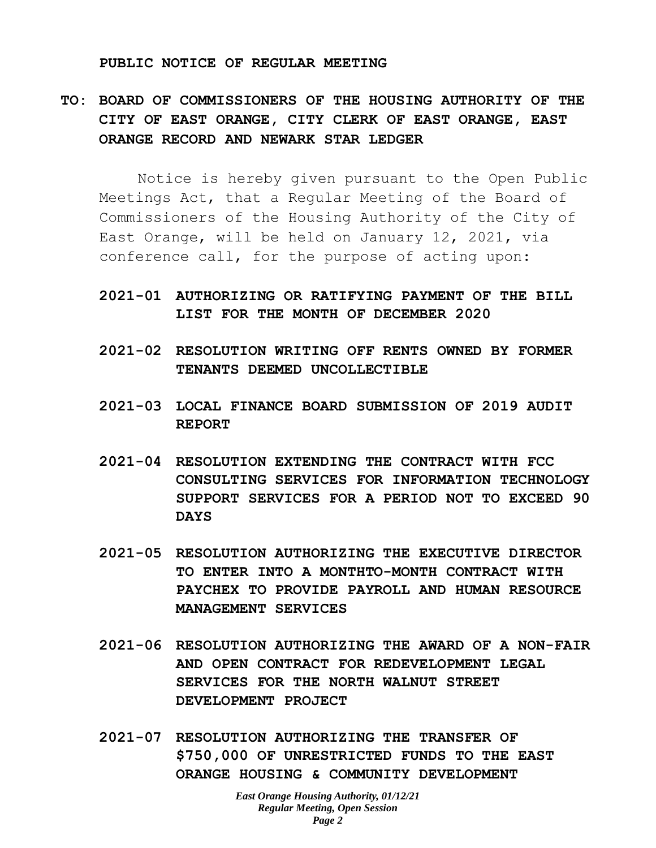#### **PUBLIC NOTICE OF REGULAR MEETING**

# **TO: BOARD OF COMMISSIONERS OF THE HOUSING AUTHORITY OF THE CITY OF EAST ORANGE, CITY CLERK OF EAST ORANGE, EAST ORANGE RECORD AND NEWARK STAR LEDGER**

Notice is hereby given pursuant to the Open Public Meetings Act, that a Regular Meeting of the Board of Commissioners of the Housing Authority of the City of East Orange, will be held on January 12, 2021, via conference call, for the purpose of acting upon:

# **2021-01 AUTHORIZING OR RATIFYING PAYMENT OF THE BILL LIST FOR THE MONTH OF DECEMBER 2020**

- **2021-02 RESOLUTION WRITING OFF RENTS OWNED BY FORMER TENANTS DEEMED UNCOLLECTIBLE**
- **2021-03 LOCAL FINANCE BOARD SUBMISSION OF 2019 AUDIT REPORT**
- **2021-04 RESOLUTION EXTENDING THE CONTRACT WITH FCC CONSULTING SERVICES FOR INFORMATION TECHNOLOGY SUPPORT SERVICES FOR A PERIOD NOT TO EXCEED 90 DAYS**
- **2021-05 RESOLUTION AUTHORIZING THE EXECUTIVE DIRECTOR TO ENTER INTO A MONTHTO-MONTH CONTRACT WITH PAYCHEX TO PROVIDE PAYROLL AND HUMAN RESOURCE MANAGEMENT SERVICES**
- **2021-06 RESOLUTION AUTHORIZING THE AWARD OF A NON-FAIR AND OPEN CONTRACT FOR REDEVELOPMENT LEGAL SERVICES FOR THE NORTH WALNUT STREET DEVELOPMENT PROJECT**
- **2021-07 RESOLUTION AUTHORIZING THE TRANSFER OF \$750,000 OF UNRESTRICTED FUNDS TO THE EAST ORANGE HOUSING & COMMUNITY DEVELOPMENT**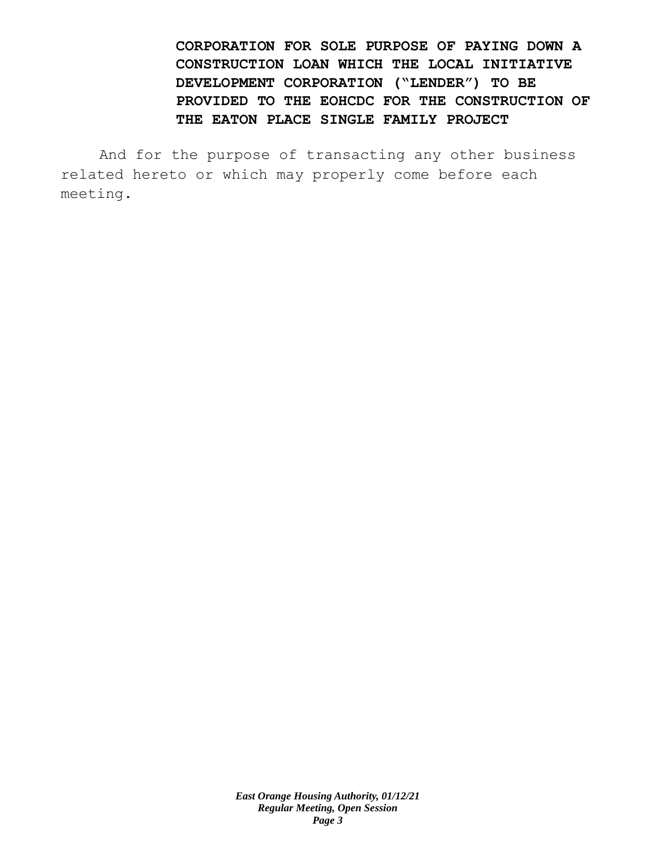**CORPORATION FOR SOLE PURPOSE OF PAYING DOWN A CONSTRUCTION LOAN WHICH THE LOCAL INITIATIVE DEVELOPMENT CORPORATION ("LENDER") TO BE PROVIDED TO THE EOHCDC FOR THE CONSTRUCTION OF THE EATON PLACE SINGLE FAMILY PROJECT**

And for the purpose of transacting any other business related hereto or which may properly come before each meeting.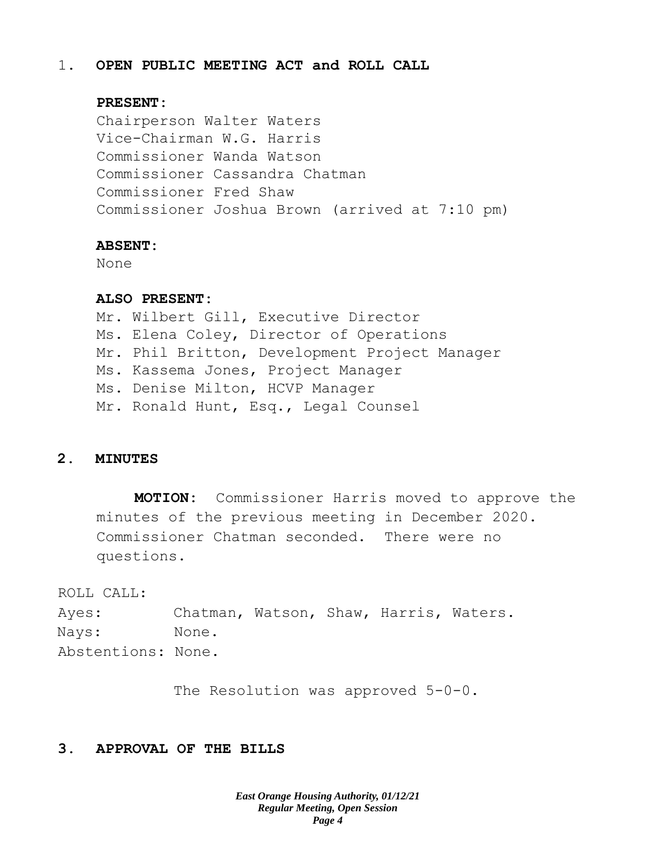#### 1. **OPEN PUBLIC MEETING ACT and ROLL CALL**

#### **PRESENT:**

Chairperson Walter Waters Vice-Chairman W.G. Harris Commissioner Wanda Watson Commissioner Cassandra Chatman Commissioner Fred Shaw Commissioner Joshua Brown (arrived at 7:10 pm)

#### **ABSENT:**

None

#### **ALSO PRESENT:**

Mr. Wilbert Gill, Executive Director Ms. Elena Coley, Director of Operations Mr. Phil Britton, Development Project Manager Ms. Kassema Jones, Project Manager Ms. Denise Milton, HCVP Manager Mr. Ronald Hunt, Esq., Legal Counsel

## **2. MINUTES**

**MOTION:** Commissioner Harris moved to approve the minutes of the previous meeting in December 2020. Commissioner Chatman seconded. There were no questions.

ROLL CALL:

Ayes: Chatman, Watson, Shaw, Harris, Waters. Nays: None. Abstentions: None.

The Resolution was approved 5-0-0.

## **3. APPROVAL OF THE BILLS**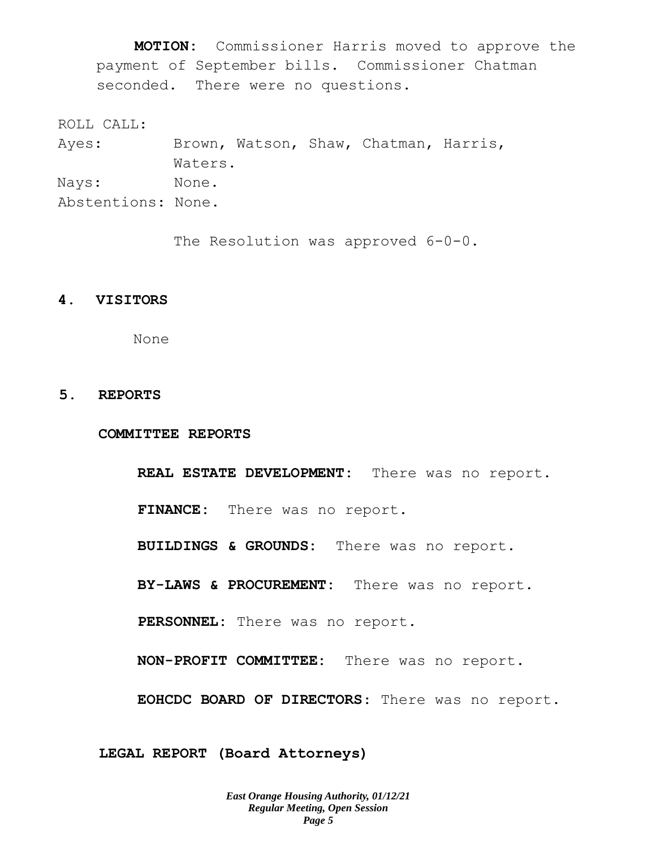**MOTION:** Commissioner Harris moved to approve the payment of September bills. Commissioner Chatman seconded. There were no questions.

ROLL CALL:

Ayes: Brown, Watson, Shaw, Chatman, Harris, Waters. Nays: None. Abstentions: None.

The Resolution was approved  $6-0-0$ .

## **4. VISITORS**

None

## **5. REPORTS**

**COMMITTEE REPORTS**

**REAL ESTATE DEVELOPMENT:** There was no report. **FINANCE:** There was no report. **BUILDINGS & GROUNDS:** There was no report. **BY-LAWS & PROCUREMENT:** There was no report. **PERSONNEL:** There was no report. **NON-PROFIT COMMITTEE:** There was no report. **EOHCDC BOARD OF DIRECTORS**: There was no report.

**LEGAL REPORT (Board Attorneys)**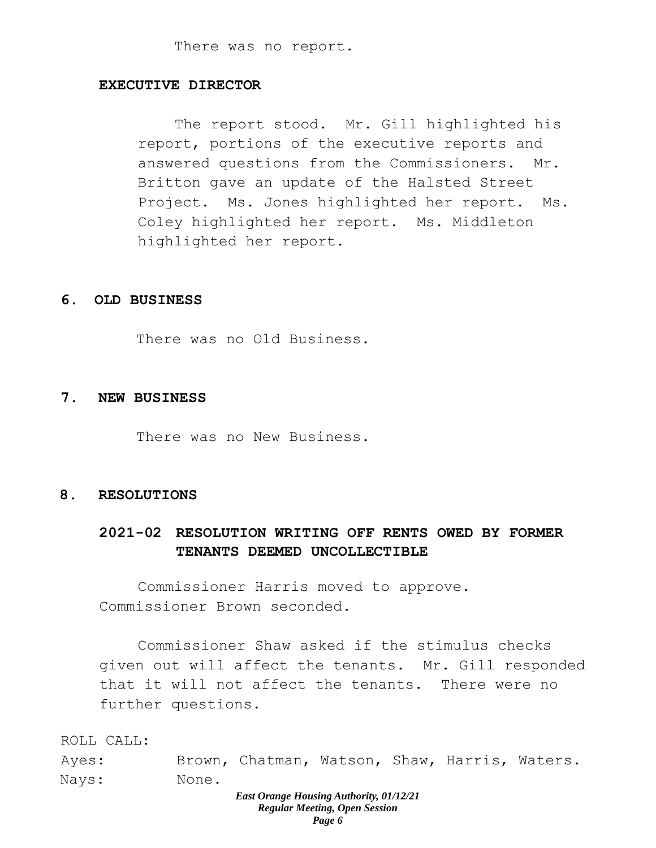#### **EXECUTIVE DIRECTOR**

The report stood. Mr. Gill highlighted his report, portions of the executive reports and answered questions from the Commissioners. Mr. Britton gave an update of the Halsted Street Project. Ms. Jones highlighted her report. Ms. Coley highlighted her report. Ms. Middleton highlighted her report.

#### **6. OLD BUSINESS**

There was no Old Business.

#### **7. NEW BUSINESS**

There was no New Business.

### **8. RESOLUTIONS**

# **2021-02 RESOLUTION WRITING OFF RENTS OWED BY FORMER TENANTS DEEMED UNCOLLECTIBLE**

Commissioner Harris moved to approve. Commissioner Brown seconded.

Commissioner Shaw asked if the stimulus checks given out will affect the tenants. Mr. Gill responded that it will not affect the tenants. There were no further questions.

ROLL CALL:

Ayes: Brown, Chatman, Watson, Shaw, Harris, Waters. Nays: None.

#### *East Orange Housing Authority, 01/12/21 Regular Meeting, Open Session Page 6*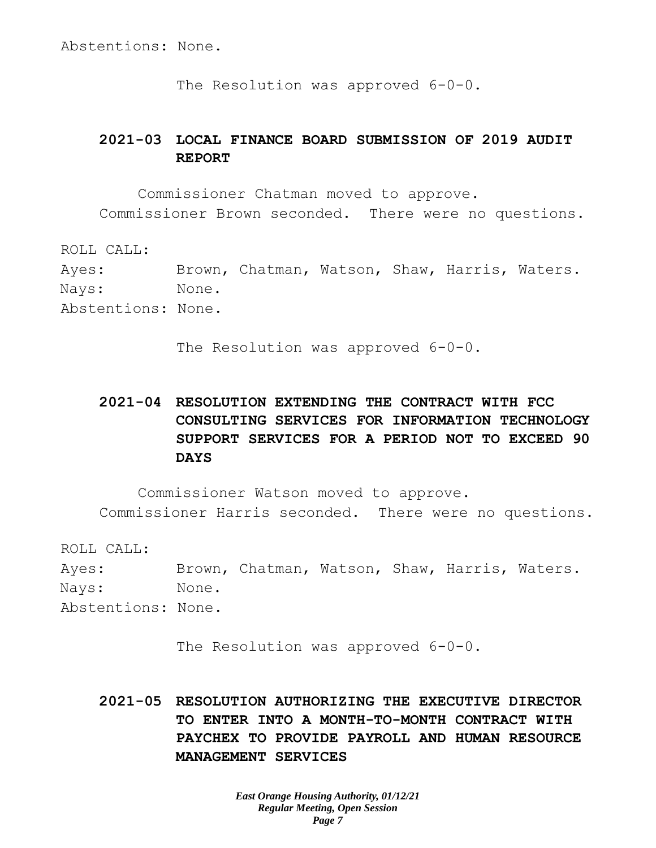Abstentions: None.

The Resolution was approved 6-0-0.

# **2021-03 LOCAL FINANCE BOARD SUBMISSION OF 2019 AUDIT REPORT**

Commissioner Chatman moved to approve. Commissioner Brown seconded. There were no questions.

ROLL CALL: Ayes: Brown, Chatman, Watson, Shaw, Harris, Waters. Nays: None. Abstentions: None.

The Resolution was approved 6-0-0.

# **2021-04 RESOLUTION EXTENDING THE CONTRACT WITH FCC CONSULTING SERVICES FOR INFORMATION TECHNOLOGY SUPPORT SERVICES FOR A PERIOD NOT TO EXCEED 90 DAYS**

Commissioner Watson moved to approve. Commissioner Harris seconded. There were no questions.

ROLL CALL:

Ayes: Brown, Chatman, Watson, Shaw, Harris, Waters. Nays: None. Abstentions: None.

The Resolution was approved 6-0-0.

**2021-05 RESOLUTION AUTHORIZING THE EXECUTIVE DIRECTOR TO ENTER INTO A MONTH-TO-MONTH CONTRACT WITH PAYCHEX TO PROVIDE PAYROLL AND HUMAN RESOURCE MANAGEMENT SERVICES**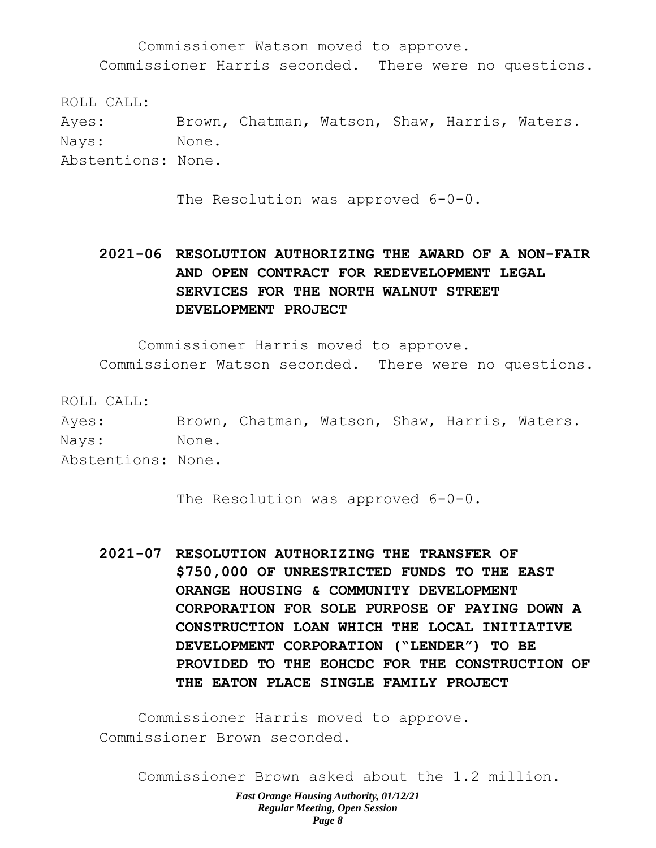Commissioner Watson moved to approve. Commissioner Harris seconded. There were no questions.

ROLL CALL: Ayes: Brown, Chatman, Watson, Shaw, Harris, Waters. Nays: None. Abstentions: None.

The Resolution was approved 6-0-0.

# **2021-06 RESOLUTION AUTHORIZING THE AWARD OF A NON-FAIR AND OPEN CONTRACT FOR REDEVELOPMENT LEGAL SERVICES FOR THE NORTH WALNUT STREET DEVELOPMENT PROJECT**

Commissioner Harris moved to approve.

Commissioner Watson seconded. There were no questions.

ROLL CALL: Ayes: Brown, Chatman, Watson, Shaw, Harris, Waters. Nays: None. Abstentions: None.

The Resolution was approved 6-0-0.

**2021-07 RESOLUTION AUTHORIZING THE TRANSFER OF \$750,000 OF UNRESTRICTED FUNDS TO THE EAST ORANGE HOUSING & COMMUNITY DEVELOPMENT CORPORATION FOR SOLE PURPOSE OF PAYING DOWN A CONSTRUCTION LOAN WHICH THE LOCAL INITIATIVE DEVELOPMENT CORPORATION ("LENDER") TO BE PROVIDED TO THE EOHCDC FOR THE CONSTRUCTION OF THE EATON PLACE SINGLE FAMILY PROJECT**

Commissioner Harris moved to approve. Commissioner Brown seconded.

Commissioner Brown asked about the 1.2 million.

*East Orange Housing Authority, 01/12/21 Regular Meeting, Open Session Page 8*